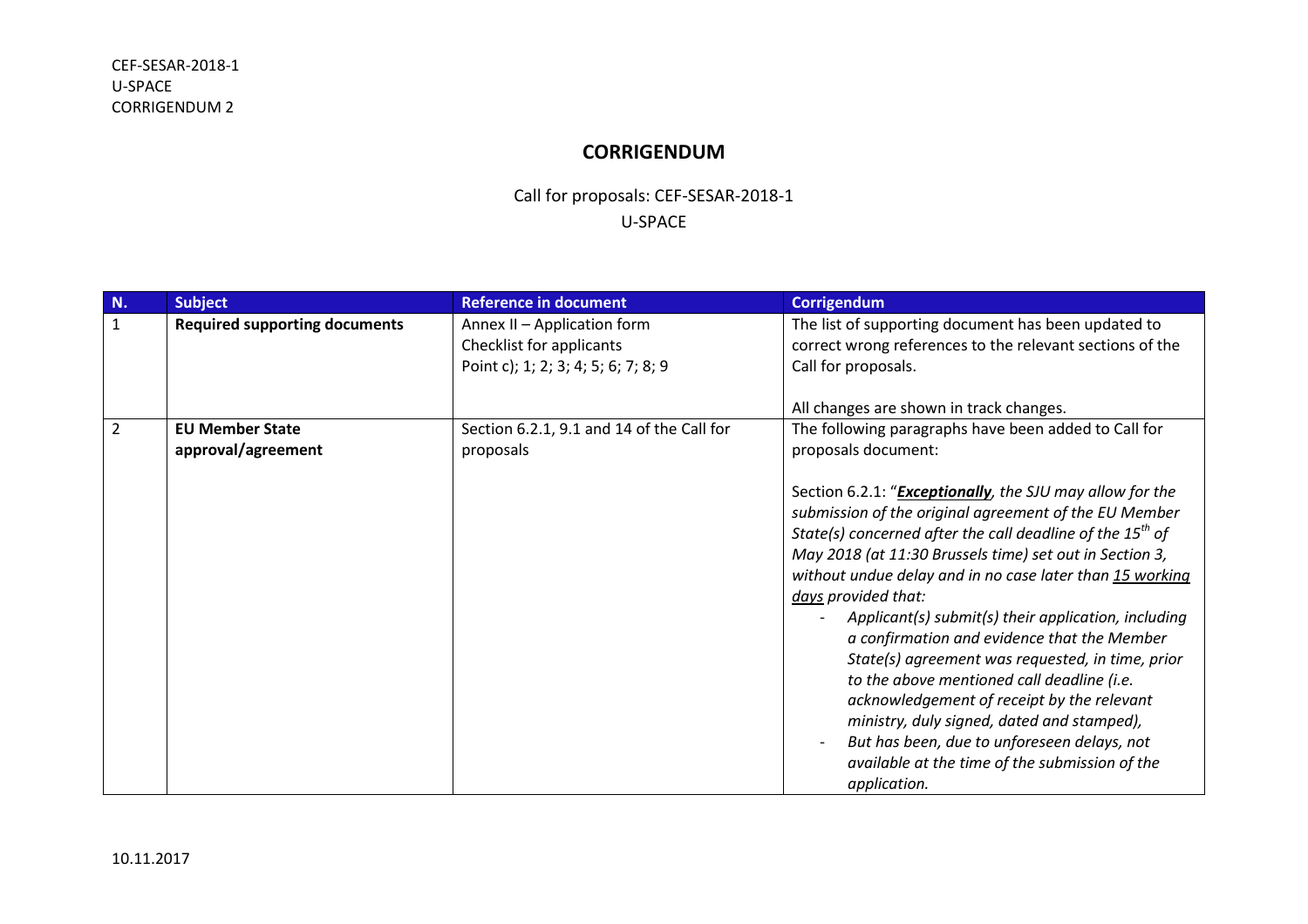## **CORRIGENDUM**

## Call for proposals: CEF-SESAR-2018-1 U-SPACE

| N.             | <b>Subject</b>                               | <b>Reference in document</b>                                                                   | <b>Corrigendum</b>                                                                                                                                                                                                                                                                                                                                                                                                                                                                                                                                                                                                                                                                                                                                              |
|----------------|----------------------------------------------|------------------------------------------------------------------------------------------------|-----------------------------------------------------------------------------------------------------------------------------------------------------------------------------------------------------------------------------------------------------------------------------------------------------------------------------------------------------------------------------------------------------------------------------------------------------------------------------------------------------------------------------------------------------------------------------------------------------------------------------------------------------------------------------------------------------------------------------------------------------------------|
| $\mathbf{1}$   | <b>Required supporting documents</b>         | Annex II - Application form<br>Checklist for applicants<br>Point c); 1; 2; 3; 4; 5; 6; 7; 8; 9 | The list of supporting document has been updated to<br>correct wrong references to the relevant sections of the<br>Call for proposals.                                                                                                                                                                                                                                                                                                                                                                                                                                                                                                                                                                                                                          |
|                |                                              |                                                                                                | All changes are shown in track changes.                                                                                                                                                                                                                                                                                                                                                                                                                                                                                                                                                                                                                                                                                                                         |
| $\overline{2}$ | <b>EU Member State</b><br>approval/agreement | Section 6.2.1, 9.1 and 14 of the Call for<br>proposals                                         | The following paragraphs have been added to Call for<br>proposals document:                                                                                                                                                                                                                                                                                                                                                                                                                                                                                                                                                                                                                                                                                     |
|                |                                              |                                                                                                | Section 6.2.1: " <b>Exceptionally</b> , the SJU may allow for the<br>submission of the original agreement of the EU Member<br>State(s) concerned after the call deadline of the $15^{th}$ of<br>May 2018 (at 11:30 Brussels time) set out in Section 3,<br>without undue delay and in no case later than 15 working<br>days provided that:<br>Applicant(s) submit(s) their application, including<br>a confirmation and evidence that the Member<br>State(s) agreement was requested, in time, prior<br>to the above mentioned call deadline (i.e.<br>acknowledgement of receipt by the relevant<br>ministry, duly signed, dated and stamped),<br>But has been, due to unforeseen delays, not<br>available at the time of the submission of the<br>application. |